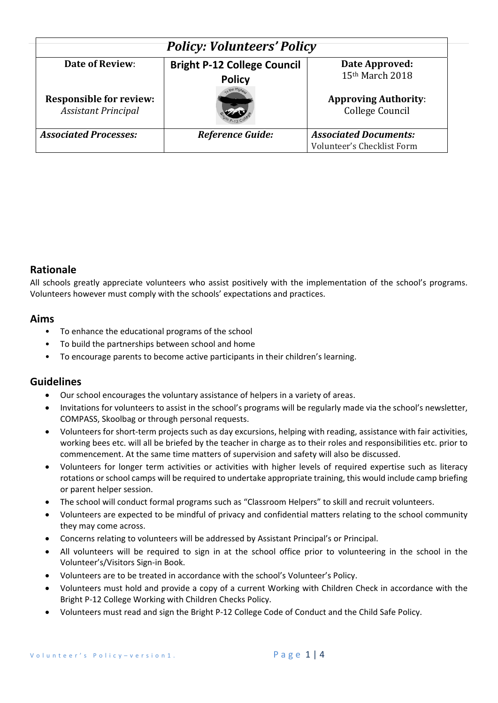| <b>Policy: Volunteers' Policy</b>                            |                                                     |                                                |  |  |
|--------------------------------------------------------------|-----------------------------------------------------|------------------------------------------------|--|--|
| Date of Review:                                              | <b>Bright P-12 College Council</b><br><b>Policy</b> | Date Approved:<br>15th March 2018              |  |  |
| <b>Responsible for review:</b><br><b>Assistant Principal</b> |                                                     | <b>Approving Authority:</b><br>College Council |  |  |
| <b>Associated Processes:</b>                                 | <b>Reference Guide:</b>                             | <b>Associated Documents:</b>                   |  |  |
|                                                              |                                                     | Volunteer's Checklist Form                     |  |  |

### **Rationale**

All schools greatly appreciate volunteers who assist positively with the implementation of the school's programs. Volunteers however must comply with the schools' expectations and practices.

#### **Aims**

- To enhance the educational programs of the school
- To build the partnerships between school and home
- To encourage parents to become active participants in their children's learning.

#### **Guidelines**

- Our school encourages the voluntary assistance of helpers in a variety of areas.
- Invitations for volunteers to assist in the school's programs will be regularly made via the school's newsletter, COMPASS, Skoolbag or through personal requests.
- Volunteers for short‐term projects such as day excursions, helping with reading, assistance with fair activities, working bees etc. will all be briefed by the teacher in charge as to their roles and responsibilities etc. prior to commencement. At the same time matters of supervision and safety will also be discussed.
- Volunteers for longer term activities or activities with higher levels of required expertise such as literacy rotations or school camps will be required to undertake appropriate training, this would include camp briefing or parent helper session.
- The school will conduct formal programs such as "Classroom Helpers" to skill and recruit volunteers.
- Volunteers are expected to be mindful of privacy and confidential matters relating to the school community they may come across.
- Concerns relating to volunteers will be addressed by Assistant Principal's or Principal.
- All volunteers will be required to sign in at the school office prior to volunteering in the school in the Volunteer's/Visitors Sign‐in Book.
- Volunteers are to be treated in accordance with the school's Volunteer's Policy.
- Volunteers must hold and provide a copy of a current Working with Children Check in accordance with the Bright P‐12 College Working with Children Checks Policy.
- Volunteers must read and sign the Bright P‐12 College Code of Conduct and the Child Safe Policy.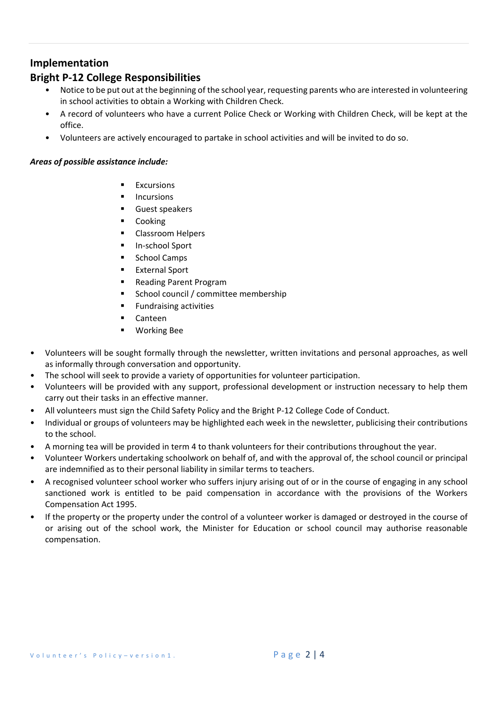### **Implementation**

## **Bright P‐12 College Responsibilities**

- Notice to be put out at the beginning of the school year, requesting parents who are interested in volunteering in school activities to obtain a Working with Children Check.
- A record of volunteers who have a current Police Check or Working with Children Check, will be kept at the office.
- Volunteers are actively encouraged to partake in school activities and will be invited to do so.

#### *Areas of possible assistance include:*

- Excursions
- Incursions
- Guest speakers
- Cooking
- Classroom Helpers
- In‐school Sport
- School Camps
- External Sport
- Reading Parent Program
- School council / committee membership
- Fundraising activities
- Canteen
- Working Bee
- Volunteers will be sought formally through the newsletter, written invitations and personal approaches, as well as informally through conversation and opportunity.
- The school will seek to provide a variety of opportunities for volunteer participation.
- Volunteers will be provided with any support, professional development or instruction necessary to help them carry out their tasks in an effective manner.
- All volunteers must sign the Child Safety Policy and the Bright P‐12 College Code of Conduct.
- Individual or groups of volunteers may be highlighted each week in the newsletter, publicising their contributions to the school.
- A morning tea will be provided in term 4 to thank volunteers for their contributions throughout the year.
- Volunteer Workers undertaking schoolwork on behalf of, and with the approval of, the school council or principal are indemnified as to their personal liability in similar terms to teachers.
- A recognised volunteer school worker who suffers injury arising out of or in the course of engaging in any school sanctioned work is entitled to be paid compensation in accordance with the provisions of the Workers Compensation Act 1995.
- If the property or the property under the control of a volunteer worker is damaged or destroyed in the course of or arising out of the school work, the Minister for Education or school council may authorise reasonable compensation.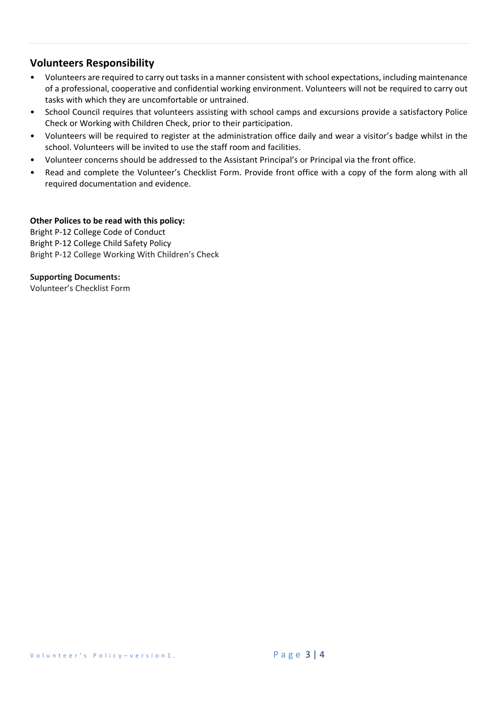## **Volunteers Responsibility**

- Volunteers are required to carry out tasks in a manner consistent with school expectations, including maintenance of a professional, cooperative and confidential working environment. Volunteers will not be required to carry out tasks with which they are uncomfortable or untrained.
- School Council requires that volunteers assisting with school camps and excursions provide a satisfactory Police Check or Working with Children Check, prior to their participation.
- Volunteers will be required to register at the administration office daily and wear a visitor's badge whilst in the school. Volunteers will be invited to use the staff room and facilities.
- Volunteer concerns should be addressed to the Assistant Principal's or Principal via the front office.
- Read and complete the Volunteer's Checklist Form. Provide front office with a copy of the form along with all required documentation and evidence.

#### **Other Polices to be read with this policy:**

Bright P‐12 College Code of Conduct Bright P‐12 College Child Safety Policy Bright P‐12 College Working With Children's Check

**Supporting Documents:**  Volunteer's Checklist Form